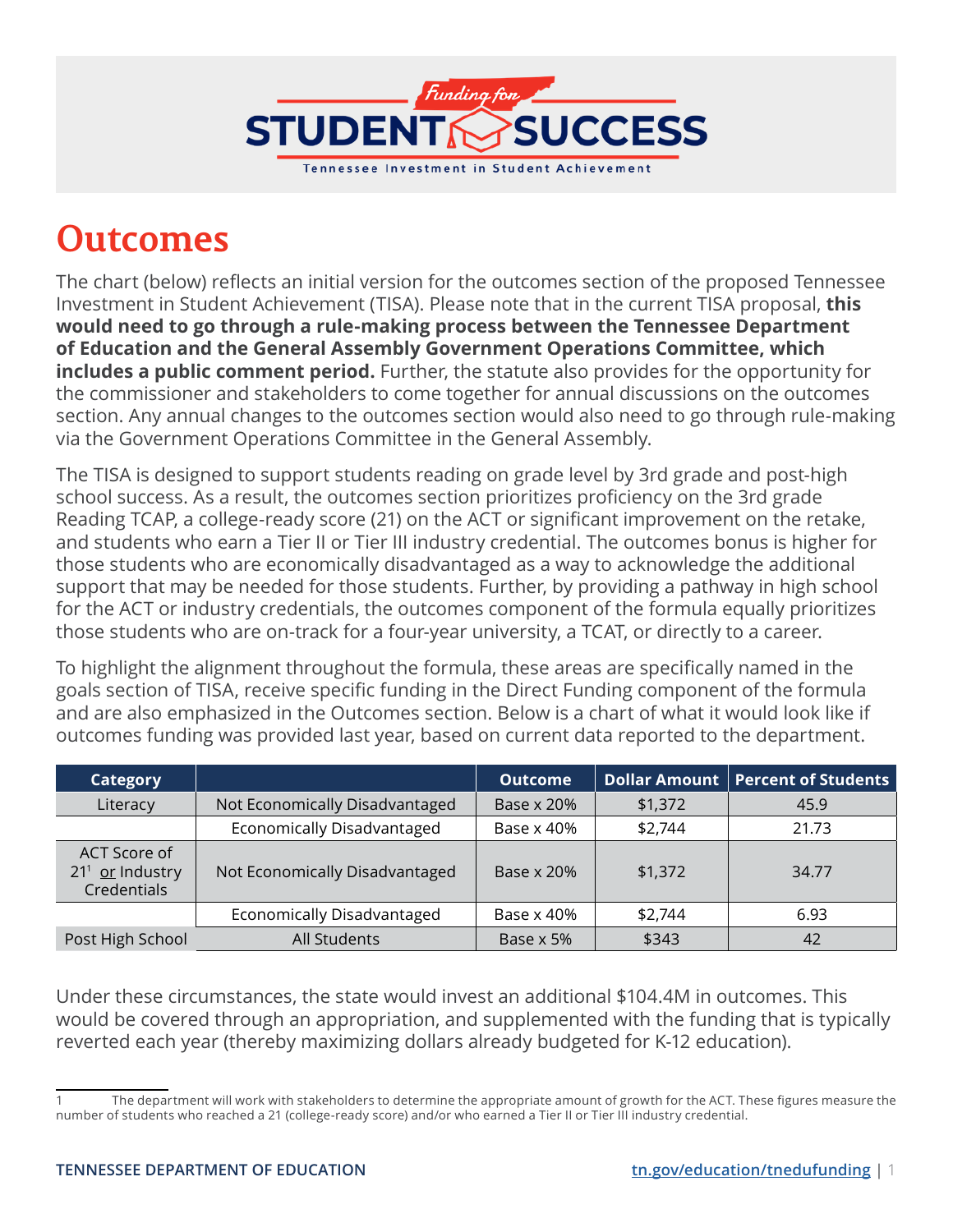

## **Outcomes**

The chart (below) reflects an initial version for the outcomes section of the proposed Tennessee Investment in Student Achievement (TISA). Please note that in the current TISA proposal, **this would need to go through a rule-making process between the Tennessee Department of Education and the General Assembly Government Operations Committee, which includes a public comment period.** Further, the statute also provides for the opportunity for the commissioner and stakeholders to come together for annual discussions on the outcomes section. Any annual changes to the outcomes section would also need to go through rule-making via the Government Operations Committee in the General Assembly.

The TISA is designed to support students reading on grade level by 3rd grade and post-high school success. As a result, the outcomes section prioritizes proficiency on the 3rd grade Reading TCAP, a college-ready score (21) on the ACT or significant improvement on the retake, and students who earn a Tier II or Tier III industry credential. The outcomes bonus is higher for those students who are economically disadvantaged as a way to acknowledge the additional support that may be needed for those students. Further, by providing a pathway in high school for the ACT or industry credentials, the outcomes component of the formula equally prioritizes those students who are on-track for a four-year university, a TCAT, or directly to a career.

To highlight the alignment throughout the formula, these areas are specifically named in the goals section of TISA, receive specific funding in the Direct Funding component of the formula and are also emphasized in the Outcomes section. Below is a chart of what it would look like if outcomes funding was provided last year, based on current data reported to the department.

| <b>Category</b>                                  |                                | <b>Outcome</b> |         | Dollar Amount   Percent of Students |
|--------------------------------------------------|--------------------------------|----------------|---------|-------------------------------------|
| Literacy                                         | Not Economically Disadvantaged | Base x 20%     | \$1,372 | 45.9                                |
|                                                  | Economically Disadvantaged     | Base x 40%     | \$2,744 | 21.73                               |
| ACT Score of<br>$211$ or Industry<br>Credentials | Not Economically Disadvantaged | Base x 20%     | \$1,372 | 34.77                               |
|                                                  | Economically Disadvantaged     | Base x 40%     | \$2,744 | 6.93                                |
| Post High School                                 | All Students                   | Base x 5%      | \$343   | 42                                  |

Under these circumstances, the state would invest an additional \$104.4M in outcomes. This would be covered through an appropriation, and supplemented with the funding that is typically reverted each year (thereby maximizing dollars already budgeted for K-12 education).

The department will work with stakeholders to determine the appropriate amount of growth for the ACT. These figures measure the number of students who reached a 21 (college-ready score) and/or who earned a Tier II or Tier III industry credential.